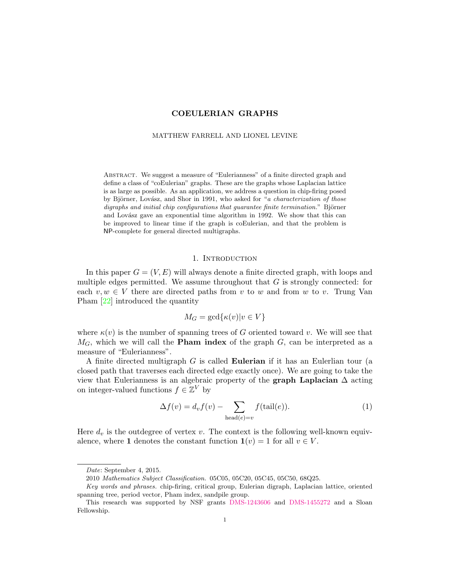### MATTHEW FARRELL AND LIONEL LEVINE

Abstract. We suggest a measure of "Eulerianness" of a finite directed graph and define a class of "coEulerian" graphs. These are the graphs whose Laplacian lattice is as large as possible. As an application, we address a question in chip-firing posed by Björner, Lovász, and Shor in 1991, who asked for "a *characterization of those*  $digraphs$  and initial chip configurations that guarantee finite termination." Björner and Lovász gave an exponential time algorithm in 1992. We show that this can be improved to linear time if the graph is coEulerian, and that the problem is NP-complete for general directed multigraphs.

## 1. INTRODUCTION

In this paper  $G = (V, E)$  will always denote a finite directed graph, with loops and multiple edges permitted. We assume throughout that  $G$  is strongly connected: for each  $v, w \in V$  there are directed paths from v to w and from w to v. Trung Van Pham [\[22\]](#page-13-0) introduced the quantity

$$
M_G = \gcd\{\kappa(v)|v \in V\}
$$

where  $\kappa(v)$  is the number of spanning trees of G oriented toward v. We will see that  $M_G$ , which we will call the **Pham index** of the graph  $G$ , can be interpreted as a measure of "Eulerianness".

A finite directed multigraph G is called Eulerian if it has an Eulerlian tour (a closed path that traverses each directed edge exactly once). We are going to take the view that Eulerianness is an algebraic property of the **graph Laplacian**  $\Delta$  acting on integer-valued functions  $f \in \mathbb{Z}^V$  by

<span id="page-0-0"></span>
$$
\Delta f(v) = d_v f(v) - \sum_{\text{head}(e)=v} f(\text{tail}(e)).
$$
\n(1)

Here  $d_v$  is the outdegree of vertex v. The context is the following well-known equivalence, where 1 denotes the constant function  $1(v) = 1$  for all  $v \in V$ .

Date: September 4, 2015.

<sup>2010</sup> Mathematics Subject Classification. 05C05, 05C20, 05C45, 05C50, 68Q25.

Key words and phrases. chip-firing, critical group, Eulerian digraph, Laplacian lattice, oriented spanning tree, period vector, Pham index, sandpile group.

This research was supported by NSF grants [DMS-1243606](http://www.nsf.gov/awardsearch/showAward?AWD_ID=1243606) and [DMS-1455272](http://www.nsf.gov/awardsearch/showAward?AWD_ID=1455272) and a Sloan Fellowship.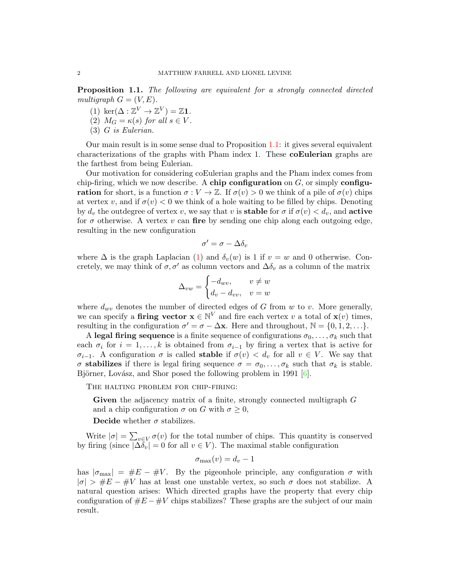<span id="page-1-0"></span>Proposition 1.1. The following are equivalent for a strongly connected directed multigraph  $G = (V, E)$ .

- (1) ker $(\Delta : \mathbb{Z}^V \to \mathbb{Z}^V) = \mathbb{Z}$ 1.
- (2)  $M_G = \kappa(s)$  for all  $s \in V$ .
- (3) G is Eulerian.

Our main result is in some sense dual to Proposition [1.1:](#page-1-0) it gives several equivalent characterizations of the graphs with Pham index 1. These coEulerian graphs are the farthest from being Eulerian.

Our motivation for considering coEulerian graphs and the Pham index comes from chip-firing, which we now describe. A chip configuration on  $G$ , or simply configu**ration** for short, is a function  $\sigma: V \to \mathbb{Z}$ . If  $\sigma(v) > 0$  we think of a pile of  $\sigma(v)$  chips at vertex v, and if  $\sigma(v) < 0$  we think of a hole waiting to be filled by chips. Denoting by  $d_v$  the outdegree of vertex v, we say that v is **stable** for  $\sigma$  if  $\sigma(v) < d_v$ , and **active** for  $\sigma$  otherwise. A vertex v can fire by sending one chip along each outgoing edge, resulting in the new configuration

$$
\sigma' = \sigma - \Delta \delta_v
$$

where  $\Delta$  is the graph Laplacian [\(1\)](#page-0-0) and  $\delta_v(w)$  is 1 if  $v = w$  and 0 otherwise. Concretely, we may think of  $\sigma$ ,  $\sigma'$  as column vectors and  $\Delta \delta_v$  as a column of the matrix

$$
\Delta_{vw} = \begin{cases}\n-d_{wv}, & v \neq w \\
d_v - d_{vv}, & v = w\n\end{cases}
$$

where  $d_{wv}$  denotes the number of directed edges of G from w to v. More generally, we can specify a firing vector  $\mathbf{x} \in \mathbb{N}^V$  and fire each vertex v a total of  $\mathbf{x}(v)$  times, resulting in the configuration  $\sigma' = \sigma - \Delta \mathbf{x}$ . Here and throughout,  $\mathbb{N} = \{0, 1, 2, \ldots\}$ .

A legal firing sequence is a finite sequence of configurations  $\sigma_0, \ldots, \sigma_k$  such that each  $\sigma_i$  for  $i = 1, \ldots, k$  is obtained from  $\sigma_{i-1}$  by firing a vertex that is active for  $\sigma_{i-1}$ . A configuration  $\sigma$  is called stable if  $\sigma(v) < d_v$  for all  $v \in V$ . We say that σ stabilizes if there is legal firing sequence  $\sigma = \sigma_0, \ldots, \sigma_k$  such that  $\sigma_k$  is stable. Björner, Lovász, and Shor posed the following problem in 1991  $[6]$ .

The halting problem for chip-firing:

Given the adjacency matrix of a finite, strongly connected multigraph G and a chip configuration  $\sigma$  on G with  $\sigma \geq 0$ ,

Decide whether  $\sigma$  stabilizes.

Write  $|\sigma| = \sum_{v \in V} \sigma(v)$  for the total number of chips. This quantity is conserved by firing (since  $|\Delta \delta_v| = 0$  for all  $v \in V$ ). The maximal stable configuration

<span id="page-1-1"></span>
$$
\sigma_{\max}(v) = d_v - 1
$$

has  $|\sigma_{\text{max}}| = \#E - \#V$ . By the pigeonhole principle, any configuration  $\sigma$  with  $|\sigma| > \#E - \#V$  has at least one unstable vertex, so such  $\sigma$  does not stabilize. A natural question arises: Which directed graphs have the property that every chip configuration of  $\#E - \#V$  chips stabilizes? These graphs are the subject of our main result.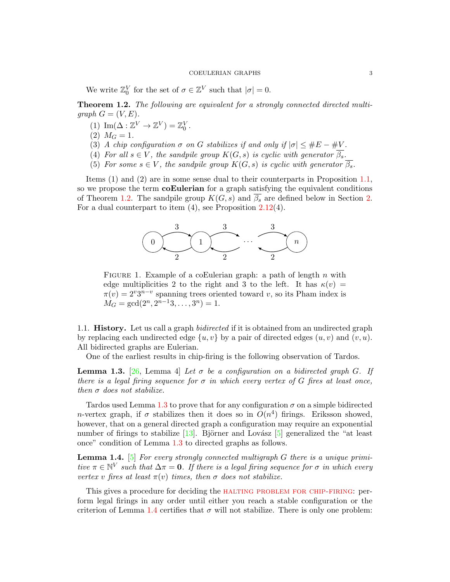We write  $\mathbb{Z}_0^V$  for the set of  $\sigma \in \mathbb{Z}^V$  such that  $|\sigma| = 0$ .

<span id="page-2-0"></span>Theorem 1.2. The following are equivalent for a strongly connected directed multigraph  $G = (V, E)$ .

- (1)  $\text{Im}(\Delta : \mathbb{Z}^V \to \mathbb{Z}^V) = \mathbb{Z}_0^V$ .
- (2)  $M_G = 1$ .
- (3) A chip configuration  $\sigma$  on G stabilizes if and only if  $|\sigma| \leq \#E \#V$ .
- (4) For all  $s \in V$ , the sandpile group  $K(G, s)$  is cyclic with generator  $\overline{\beta_s}$ .
- (5) For some  $s \in V$ , the sandpile group  $K(G, s)$  is cyclic with generator  $\overline{\beta_s}$ .

Items (1) and (2) are in some sense dual to their counterparts in Proposition [1.1,](#page-1-0) so we propose the term **coEulerian** for a graph satisfying the equivalent conditions of Theorem [1.2.](#page-2-0) The sandpile group  $K(G, s)$  and  $\overline{\beta_s}$  are defined below in Section [2.](#page-3-0) For a dual counterpart to item (4), see Proposition [2.12\(](#page-7-0)4).



<span id="page-2-3"></span>FIGURE 1. Example of a coEulerian graph: a path of length  $n$  with edge multiplicities 2 to the right and 3 to the left. It has  $\kappa(v) =$  $\pi(v) = 2^v 3^{n-v}$  spanning trees oriented toward v, so its Pham index is  $M_G = \gcd(2^n, 2^{n-1}3, \ldots, 3^n) = 1.$ 

1.1. **History.** Let us call a graph *bidirected* if it is obtained from an undirected graph by replacing each undirected edge  $\{u, v\}$  by a pair of directed edges  $(u, v)$  and  $(v, u)$ . All bidirected graphs are Eulerian.

One of the earliest results in chip-firing is the following observation of Tardos.

<span id="page-2-1"></span>**Lemma 1.3.** [\[26,](#page-13-2) Lemma 4] Let  $\sigma$  be a configuration on a bidirected graph G. If there is a legal firing sequence for  $\sigma$  in which every vertex of G fires at least once, then  $\sigma$  does not stabilize.

Tardos used Lemma [1.3](#page-2-1) to prove that for any configuration  $\sigma$  on a simple bidirected *n*-vertex graph, if  $\sigma$  stabilizes then it does so in  $O(n^4)$  firings. Eriksson showed, however, that on a general directed graph a configuration may require an exponential number of firings to stabilize  $[13]$ . Björner and Lovász  $[5]$  generalized the "at least once" condition of Lemma [1.3](#page-2-1) to directed graphs as follows.

<span id="page-2-2"></span>**Lemma 1.4.** [\[5\]](#page-13-4) For every strongly connected multigraph  $G$  there is a unique primitive  $\pi \in \mathbb{N}^V$  such that  $\Delta \pi = 0$ . If there is a legal firing sequence for  $\sigma$  in which every vertex v fires at least  $\pi(v)$  times, then  $\sigma$  does not stabilize.

This gives a procedure for deciding the HALTING PROBLEM FOR CHIP-FIRING: perform legal firings in any order until either you reach a stable configuration or the criterion of Lemma [1.4](#page-2-2) certifies that  $\sigma$  will not stabilize. There is only one problem: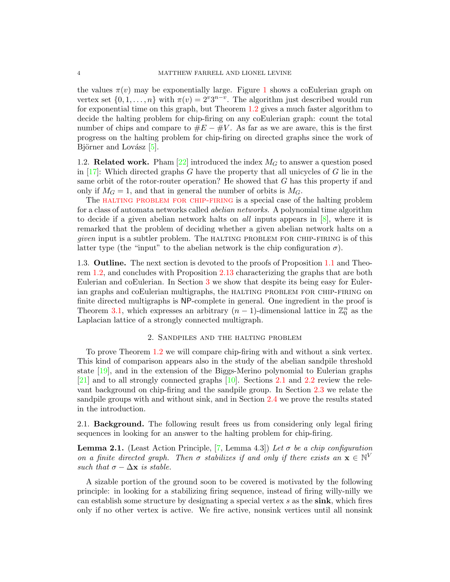the values  $\pi(v)$  may be exponentially large. Figure [1](#page-2-3) shows a coEulerian graph on vertex set  $\{0, 1, \ldots, n\}$  with  $\pi(v) = 2^v 3^{n-v}$ . The algorithm just described would run for exponential time on this graph, but Theorem [1.2](#page-2-0) gives a much faster algorithm to decide the halting problem for chip-firing on any coEulerian graph: count the total number of chips and compare to  $\#E - \#V$ . As far as we are aware, this is the first progress on the halting problem for chip-firing on directed graphs since the work of Björner and Lovász  $[5]$ .

1.2. **Related work.** Pham [\[22\]](#page-13-0) introduced the index  $M_G$  to answer a question posed in  $[17]$ : Which directed graphs G have the property that all unicycles of G lie in the same orbit of the rotor-router operation? He showed that G has this property if and only if  $M<sub>G</sub> = 1$ , and that in general the number of orbits is  $M<sub>G</sub>$ .

The [halting problem for chip-firing](#page-1-1) is a special case of the halting problem for a class of automata networks called abelian networks. A polynomial time algorithm to decide if a given abelian network halts on all inputs appears in [\[8\]](#page-13-6), where it is remarked that the problem of deciding whether a given abelian network halts on a given input is a subtler problem. The halting problem for chip-firing is of this latter type (the "input" to the abelian network is the chip configuration  $\sigma$ ).

1.3. Outline. The next section is devoted to the proofs of Proposition [1.1](#page-1-0) and Theorem [1.2,](#page-2-0) and concludes with Proposition [2.13](#page-8-0) characterizing the graphs that are both Eulerian and coEulerian. In Section [3](#page-9-0) we show that despite its being easy for Eulerian graphs and coEulerian multigraphs, the HALTING PROBLEM FOR CHIP-FIRING on finite directed multigraphs is NP-complete in general. One ingredient in the proof is Theorem [3.1,](#page-10-0) which expresses an arbitrary  $(n-1)$ -dimensional lattice in  $\mathbb{Z}_0^n$  as the Laplacian lattice of a strongly connected multigraph.

## 2. Sandpiles and the halting problem

<span id="page-3-0"></span>To prove Theorem [1.2](#page-2-0) we will compare chip-firing with and without a sink vertex. This kind of comparison appears also in the study of the abelian sandpile threshold state [\[19\]](#page-13-7), and in the extension of the Biggs-Merino polynomial to Eulerian graphs [\[21\]](#page-13-8) and to all strongly connected graphs [\[10\]](#page-13-9). Sections [2.1](#page-3-1) and [2.2](#page-5-0) review the relevant background on chip-firing and the sandpile group. In Section [2.3](#page-6-0) we relate the sandpile groups with and without sink, and in Section [2.4](#page-7-1) we prove the results stated in the introduction.

<span id="page-3-1"></span>2.1. Background. The following result frees us from considering only legal firing sequences in looking for an answer to the halting problem for chip-firing.

<span id="page-3-2"></span>**Lemma 2.1.** (Least Action Principle, [\[7,](#page-13-10) Lemma 4.3]) Let  $\sigma$  be a chip configuration on a finite directed graph. Then  $\sigma$  stabilizes if and only if there exists an  $\mathbf{x} \in \mathbb{N}^V$ such that  $\sigma - \Delta x$  is stable.

A sizable portion of the ground soon to be covered is motivated by the following principle: in looking for a stabilizing firing sequence, instead of firing willy-nilly we can establish some structure by designating a special vertex  $s$  as the sink, which fires only if no other vertex is active. We fire active, nonsink vertices until all nonsink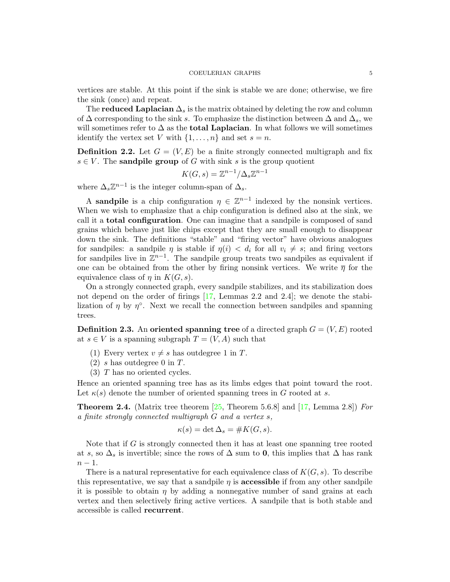vertices are stable. At this point if the sink is stable we are done; otherwise, we fire the sink (once) and repeat.

The **reduced Laplacian**  $\Delta_s$  is the matrix obtained by deleting the row and column of  $\Delta$  corresponding to the sink s. To emphasize the distinction between  $\Delta$  and  $\Delta_s$ , we will sometimes refer to  $\Delta$  as the **total Laplacian**. In what follows we will sometimes identify the vertex set V with  $\{1, \ldots, n\}$  and set  $s = n$ .

**Definition 2.2.** Let  $G = (V, E)$  be a finite strongly connected multigraph and fix  $s \in V$ . The **sandpile group** of G with sink s is the group quotient

$$
K(G, s) = \mathbb{Z}^{n-1} / \Delta_s \mathbb{Z}^{n-1}
$$

where  $\Delta_s \mathbb{Z}^{n-1}$  is the integer column-span of  $\Delta_s$ .

A sandpile is a chip configuration  $\eta \in \mathbb{Z}^{n-1}$  indexed by the nonsink vertices. When we wish to emphasize that a chip configuration is defined also at the sink, we call it a total configuration. One can imagine that a sandpile is composed of sand grains which behave just like chips except that they are small enough to disappear down the sink. The definitions "stable" and "firing vector" have obvious analogues for sandpiles: a sandpile  $\eta$  is stable if  $\eta(i) < d_i$  for all  $v_i \neq s$ ; and firing vectors for sandpiles live in  $\mathbb{Z}^{n-1}$ . The sandpile group treats two sandpiles as equivalent if one can be obtained from the other by firing nonsink vertices. We write  $\bar{\eta}$  for the equivalence class of  $\eta$  in  $K(G, s)$ .

On a strongly connected graph, every sandpile stabilizes, and its stabilization does not depend on the order of firings [\[17,](#page-13-5) Lemmas 2.2 and 2.4]; we denote the stabilization of  $\eta$  by  $\eta^{\circ}$ . Next we recall the connection between sandpiles and spanning trees.

**Definition 2.3.** An **oriented spanning tree** of a directed graph  $G = (V, E)$  rooted at  $s \in V$  is a spanning subgraph  $T = (V, A)$  such that

- (1) Every vertex  $v \neq s$  has outdegree 1 in T.
- $(2)$  s has outdegree 0 in T.
- (3) T has no oriented cycles.

Hence an oriented spanning tree has as its limbs edges that point toward the root. Let  $\kappa(s)$  denote the number of oriented spanning trees in G rooted at s.

**Theorem 2.4.** (Matrix tree theorem [\[25,](#page-13-11) Theorem 5.6.8] and [\[17,](#page-13-5) Lemma 2.8]) For a finite strongly connected multigraph G and a vertex s,

$$
\kappa(s) = \det \Delta_s = \#K(G, s).
$$

Note that if G is strongly connected then it has at least one spanning tree rooted at s, so  $\Delta_s$  is invertible; since the rows of  $\Delta$  sum to 0, this implies that  $\Delta$  has rank  $n-1$ .

There is a natural representative for each equivalence class of  $K(G, s)$ . To describe this representative, we say that a sandpile  $\eta$  is **accessible** if from any other sandpile it is possible to obtain  $\eta$  by adding a nonnegative number of sand grains at each vertex and then selectively firing active vertices. A sandpile that is both stable and accessible is called recurrent.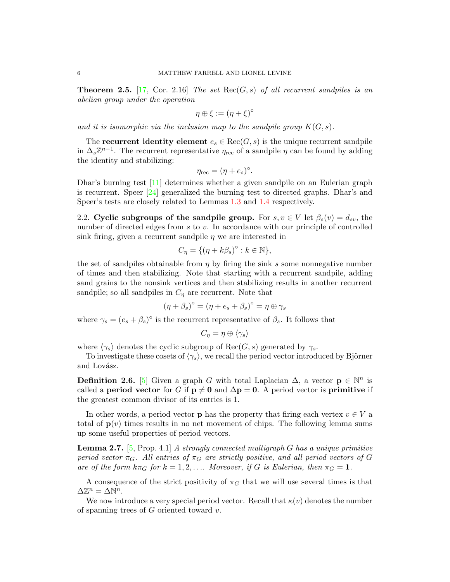<span id="page-5-2"></span>**Theorem 2.5.** [\[17,](#page-13-5) Cor. 2.16] The set  $Rec(G, s)$  of all recurrent sandpiles is an abelian group under the operation

$$
\eta \oplus \xi := (\eta + \xi)^{\circ}
$$

and it is isomorphic via the inclusion map to the sandpile group  $K(G, s)$ .

The recurrent identity element  $e_s \in \text{Rec}(G, s)$  is the unique recurrent sandpile in  $\Delta_s \mathbb{Z}^{n-1}$ . The recurrent representative  $\eta_{\text{rec}}$  of a sandpile  $\eta$  can be found by adding the identity and stabilizing:

$$
\eta_{\rm rec} = (\eta + e_s)^{\circ}.
$$

Dhar's burning test [\[11\]](#page-13-12) determines whether a given sandpile on an Eulerian graph is recurrent. Speer [\[24\]](#page-13-13) generalized the burning test to directed graphs. Dhar's and Speer's tests are closely related to Lemmas [1.3](#page-2-1) and [1.4](#page-2-2) respectively.

<span id="page-5-0"></span>2.2. Cyclic subgroups of the sandpile group. For  $s, v \in V$  let  $\beta_s(v) = d_{sv}$ , the number of directed edges from s to v. In accordance with our principle of controlled sink firing, given a recurrent sandpile  $\eta$  we are interested in

$$
C_{\eta} = \{ (\eta + k\beta_s)^{\circ} : k \in \mathbb{N} \},
$$

the set of sandpiles obtainable from  $\eta$  by firing the sink s some nonnegative number of times and then stabilizing. Note that starting with a recurrent sandpile, adding sand grains to the nonsink vertices and then stabilizing results in another recurrent sandpile; so all sandpiles in  $C_{\eta}$  are recurrent. Note that

$$
(\eta + \beta_s)^{\circ} = (\eta + e_s + \beta_s)^{\circ} = \eta \oplus \gamma_s
$$

where  $\gamma_s = (e_s + \beta_s)^\circ$  is the recurrent representative of  $\beta_s$ . It follows that

$$
C_\eta = \eta \oplus \langle \gamma_s \rangle
$$

where  $\langle \gamma_s \rangle$  denotes the cyclic subgroup of  $\text{Rec}(G, s)$  generated by  $\gamma_s$ .

To investigate these cosets of  $\langle \gamma_s \rangle$ , we recall the period vector introduced by Björner and Lovász.

**Definition 2.6.** [\[5\]](#page-13-4) Given a graph G with total Laplacian  $\Delta$ , a vector  $p \in \mathbb{N}^n$  is called a period vector for G if  $p \neq 0$  and  $\Delta p = 0$ . A period vector is primitive if the greatest common divisor of its entries is 1.

In other words, a period vector **p** has the property that firing each vertex  $v \in V$  a total of  $p(v)$  times results in no net movement of chips. The following lemma sums up some useful properties of period vectors.

<span id="page-5-1"></span>**Lemma 2.7.** [\[5,](#page-13-4) Prop. 4.1] A strongly connected multigraph G has a unique primitive period vector  $\pi_G$ . All entries of  $\pi_G$  are strictly positive, and all period vectors of G are of the form  $k\pi_G$  for  $k = 1, 2, \ldots$  Moreover, if G is Eulerian, then  $\pi_G = 1$ .

A consequence of the strict positivity of  $\pi_G$  that we will use several times is that  $\Delta \mathbb{Z}^n = \Delta \mathbb{N}^n$ .

We now introduce a very special period vector. Recall that  $\kappa(v)$  denotes the number of spanning trees of  $G$  oriented toward  $v$ .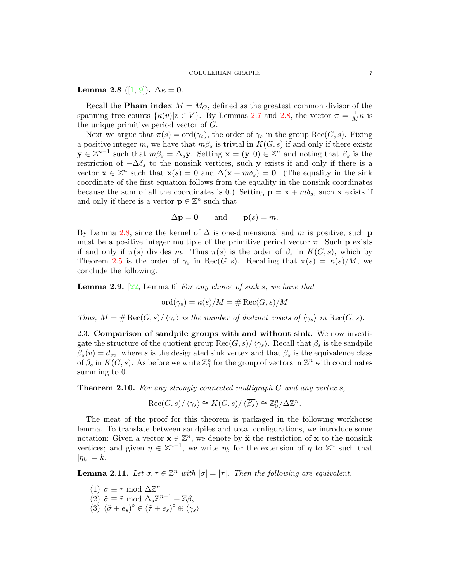# <span id="page-6-1"></span>Lemma 2.8 ([\[1,](#page-12-0) [9\]](#page-13-14)).  $\Delta \kappa = 0$ .

Recall the **Pham index**  $M = M_G$ , defined as the greatest common divisor of the spanning tree counts  $\{\kappa(v)|v \in V\}$ . By Lemmas [2.7](#page-5-1) and [2.8,](#page-6-1) the vector  $\pi = \frac{1}{M}\kappa$  is the unique primitive period vector of G.

Next we argue that  $\pi(s) = \text{ord}(\gamma_s)$ , the order of  $\gamma_s$  in the group  $\text{Rec}(G, s)$ . Fixing a positive integer m, we have that  $m\overline{\beta_s}$  is trivial in  $K(G, s)$  if and only if there exists  $y \in \mathbb{Z}^{n-1}$  such that  $m\beta_s = \Delta_s y$ . Setting  $\mathbf{x} = (\mathbf{y}, 0) \in \mathbb{Z}^n$  and noting that  $\beta_s$  is the restriction of  $-\Delta\delta_s$  to the nonsink vertices, such y exists if and only if there is a vector  $\mathbf{x} \in \mathbb{Z}^n$  such that  $\mathbf{x}(s) = 0$  and  $\Delta(\mathbf{x} + m\delta_s) = \mathbf{0}$ . (The equality in the sink coordinate of the first equation follows from the equality in the nonsink coordinates because the sum of all the coordinates is 0.) Setting  $\mathbf{p} = \mathbf{x} + m\delta_s$ , such x exists if and only if there is a vector  $\mathbf{p} \in \mathbb{Z}^n$  such that

$$
\Delta p = 0
$$
 and  $p(s) = m$ .

By Lemma [2.8,](#page-6-1) since the kernel of  $\Delta$  is one-dimensional and m is positive, such p must be a positive integer multiple of the primitive period vector  $\pi$ . Such p exists if and only if  $\pi(s)$  divides m. Thus  $\pi(s)$  is the order of  $\overline{\beta_s}$  in  $K(G, s)$ , which by Theorem [2.5](#page-5-2) is the order of  $\gamma_s$  in Rec(G, s). Recalling that  $\pi(s) = \kappa(s)/M$ , we conclude the following.

<span id="page-6-4"></span>**Lemma 2.9.** [\[22,](#page-13-0) Lemma 6] For any choice of sink s, we have that

$$
\mathrm{ord}(\gamma_s)=\kappa(s)/M=\#\operatorname{Rec}(G,s)/M
$$

Thus,  $M = \# \text{Rec}(G, s) / \langle \gamma_s \rangle$  is the number of distinct cosets of  $\langle \gamma_s \rangle$  in  $\text{Rec}(G, s)$ .

<span id="page-6-0"></span>2.3. Comparison of sandpile groups with and without sink. We now investigate the structure of the quotient group  $\text{Rec}(G, s)/\langle \gamma_s \rangle$ . Recall that  $\beta_s$  is the sandpile  $\beta_s(v) = d_{sv}$ , where s is the designated sink vertex and that  $\overline{\beta_s}$  is the equivalence class of  $\beta_s$  in  $K(G, s)$ . As before we write  $\mathbb{Z}_0^n$  for the group of vectors in  $\mathbb{Z}^n$  with coordinates summing to 0.

<span id="page-6-2"></span>Theorem 2.10. For any strongly connected multigraph G and any vertex s,

$$
Rec(G, s)/\langle \gamma_s \rangle \cong K(G, s)/\langle \overline{\beta_s} \rangle \cong \mathbb{Z}_0^n/\Delta \mathbb{Z}^n.
$$

The meat of the proof for this theorem is packaged in the following workhorse lemma. To translate between sandpiles and total configurations, we introduce some notation: Given a vector  $\mathbf{x} \in \mathbb{Z}^n$ , we denote by  $\tilde{\mathbf{x}}$  the restriction of  $\mathbf{x}$  to the nonsink vertices; and given  $\eta \in \mathbb{Z}^{n-1}$ , we write  $\eta_k$  for the extension of  $\eta$  to  $\mathbb{Z}^n$  such that  $|\eta_k| = k$ .

<span id="page-6-3"></span>**Lemma 2.11.** Let  $\sigma, \tau \in \mathbb{Z}^n$  with  $|\sigma| = |\tau|$ . Then the following are equivalent.

(1)  $\sigma \equiv \tau \mod \Delta \mathbb{Z}^n$ (2)  $\tilde{\sigma} \equiv \tilde{\tau} \mod \Delta_s \mathbb{Z}^{n-1} + \mathbb{Z}\beta_s$  $(3)$   $(\tilde{\sigma} + e_s)^{\circ} \in (\tilde{\tau} + e_s)^{\circ} \oplus \langle \gamma_s \rangle$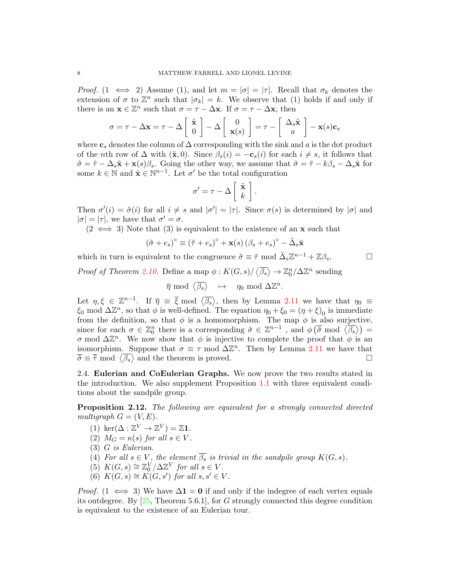*Proof.* (1  $\iff$  2) Assume (1), and let  $m = |\sigma| = |\tau|$ . Recall that  $\sigma_k$  denotes the extension of  $\sigma$  to  $\mathbb{Z}^n$  such that  $|\sigma_k| = k$ . We observe that (1) holds if and only if there is an  $\mathbf{x} \in \mathbb{Z}^n$  such that  $\sigma = \tau - \Delta \mathbf{x}$ . If  $\sigma = \tau - \Delta \mathbf{x}$ , then

$$
\sigma = \tau - \Delta \mathbf{x} = \tau - \Delta \begin{bmatrix} \tilde{\mathbf{x}} \\ 0 \end{bmatrix} - \Delta \begin{bmatrix} 0 \\ \mathbf{x}(s) \end{bmatrix} = \tau - \begin{bmatrix} \Delta_s \tilde{\mathbf{x}} \\ a \end{bmatrix} - \mathbf{x}(s)\mathbf{c}_s
$$

where  $c_s$  denotes the column of  $\Delta$  corresponding with the sink and a is the dot product of the nth row of  $\Delta$  with  $(\tilde{\mathbf{x}}, 0)$ . Since  $\beta_s(i) = -\mathbf{c}_s(i)$  for each  $i \neq s$ , it follows that  $\tilde{\sigma} = \tilde{\tau} - \Delta_s \tilde{\mathbf{x}} + \mathbf{x}(s)\beta_s$ . Going the other way, we assume that  $\tilde{\sigma} = \tilde{\tau} - k\beta_s - \Delta_s \tilde{\mathbf{x}}$  for some  $k \in \mathbb{N}$  and  $\tilde{\mathbf{x}} \in \mathbb{N}^{n-1}$ . Let  $\sigma'$  be the total configuration

$$
\sigma' = \tau - \Delta \left[ \begin{array}{c} \tilde{\mathbf{x}} \\ k \end{array} \right].
$$

Then  $\sigma'(i) = \tilde{\sigma}(i)$  for all  $i \neq s$  and  $|\sigma'| = |\tau|$ . Since  $\sigma(s)$  is determined by  $|\sigma|$  and  $|\sigma| = |\tau|$ , we have that  $\sigma' = \sigma$ .

 $(2 \iff 3)$  Note that  $(3)$  is equivalent to the existence of an **x** such that

$$
(\tilde{\sigma} + e_s)^{\circ} \equiv (\tilde{\tau} + e_s)^{\circ} + \mathbf{x}(s) (\beta_s + e_s)^{\circ} - \tilde{\Delta}_s \tilde{\mathbf{x}}
$$

which in turn is equivalent to the congruence  $\tilde{\sigma} \equiv \tilde{\tau} \mod \tilde{\Delta}_s \mathbb{Z}^{n-1} + \mathbb{Z}\beta_s$ .

*Proof of Theorem [2.10.](#page-6-2)* Define a map  $\phi: K(G, s)/\langle \overline{\beta_s} \rangle \to \mathbb{Z}_0^n/\Delta \mathbb{Z}^n$  sending

 $\overline{\eta} \mod \langle \overline{\beta_s} \rangle \quad \mapsto \quad \eta_0 \mod \Delta \mathbb{Z}^n.$ 

Let  $\eta, \xi \in \mathbb{Z}^{n-1}$ . If  $\overline{\eta} \equiv \overline{\xi} \mod \langle \overline{\beta_s} \rangle$ , then by Lemma [2.11](#page-6-3) we have that  $\eta_0 \equiv$  $\xi_0$  mod  $\Delta \mathbb{Z}^n$ , so that  $\phi$  is well-defined. The equation  $\eta_0 + \xi_0 = (\eta + \xi)_0$  is immediate from the definition, so that  $\phi$  is a homomorphism. The map  $\phi$  is also surjective, since for each  $\sigma \in \mathbb{Z}_0^n$  there is a corresponding  $\tilde{\sigma} \in \mathbb{Z}^{n-1}$ , and  $\phi(\tilde{\sigma} \mod \langle \overline{\beta_s} \rangle) =$  $\sigma$  mod  $\Delta \mathbb{Z}^n$ . We now show that  $\phi$  is injective to complete the proof that  $\phi$  is an isomorphism. Suppose that  $\sigma \equiv \tau \mod \Delta \mathbb{Z}^n$ . Then by Lemma [2.11](#page-6-3) we have that  $\overline{\tilde{\sigma}} \equiv \overline{\tilde{\tau}} \mod \langle \overline{\beta_s} \rangle$  and the theorem is proved.

<span id="page-7-1"></span>2.4. Eulerian and CoEulerian Graphs. We now prove the two results stated in the introduction. We also supplement Proposition [1.1](#page-1-0) with three equivalent conditions about the sandpile group.

<span id="page-7-0"></span>Proposition 2.12. The following are equivalent for a strongly connected directed multigraph  $G = (V, E)$ .

- (1) ker $(\Delta : \mathbb{Z}^V \to \mathbb{Z}^V) = \mathbb{Z}$ 1.
- (2)  $M_G = \kappa(s)$  for all  $s \in V$ .
- (3) G is Eulerian.
- (4) For all  $s \in V$ , the element  $\overline{\beta_s}$  is trivial in the sandpile group  $K(G, s)$ .
- (5)  $K(G, s) \cong \mathbb{Z}_0^V / \Delta \mathbb{Z}^V$  for all  $s \in V$ .
- (6)  $K(G, s) \cong K(G, s')$  for all  $s, s' \in V$ .

*Proof.* (1  $\iff$  3) We have  $\Delta$ **1** = **0** if and only if the indegree of each vertex equals its outdegree. By [\[25,](#page-13-11) Theorem 5.6.1], for G strongly connected this degree condition is equivalent to the existence of an Eulerian tour.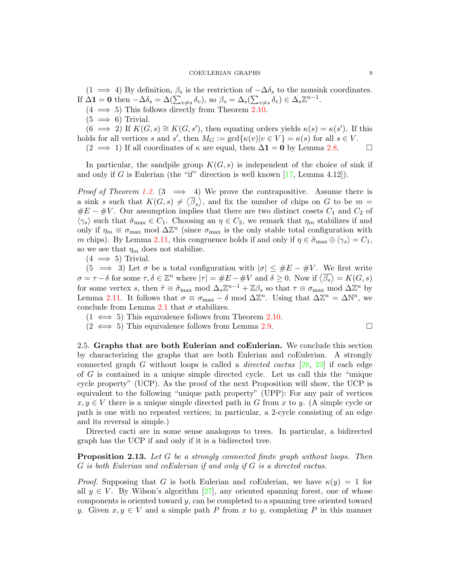$(1 \implies 4)$  By definition,  $\beta_s$  is the restriction of  $-\Delta\delta_s$  to the nonsink coordinates. If  $\Delta \mathbf{1} = \mathbf{0}$  then  $-\Delta \delta_s = \Delta(\sum_{v \neq s} \delta_v)$ , so  $\beta_s = \Delta_s(\sum_{v \neq s} \delta_v) \in \Delta_s \mathbb{Z}^{n-1}$ .

- $(4 \implies 5)$  This follows directly from Theorem [2.10.](#page-6-2)
- $(5 \implies 6)$  Trivial.

 $(6 \implies 2)$  If  $K(G, s) \cong K(G, s')$ , then equating orders yields  $\kappa(s) = \kappa(s')$ . If this holds for all vertices s and s', then  $M_G := \gcd{\kappa(v)|v \in V} = \kappa(s)$  for all  $s \in V$ .

 $(2 \implies 1)$  If all coordinates of  $\kappa$  are equal, then  $\Delta \mathbf{1} = \mathbf{0}$  by Lemma [2.8.](#page-6-1)

In particular, the sandpile group  $K(G, s)$  is independent of the choice of sink if and only if G is Eulerian (the "if" direction is well known  $[17, \text{Lemma } 4.12]$  $[17, \text{Lemma } 4.12]$ ).

*Proof of Theorem [1.2.](#page-2-0)* (3  $\implies$  4) We prove the contrapositive. Assume there is a sink s such that  $K(G, s) \neq \langle \overline{\beta}_s \rangle$ , and fix the number of chips on G to be  $m =$  $\#E - \#V$ . Our assumption implies that there are two distinct cosets  $C_1$  and  $C_2$  of  $\langle \gamma_s \rangle$  such that  $\tilde{\sigma}_{\text{max}} \in C_1$ . Choosing an  $\eta \in C_2$ , we remark that  $\eta_m$  stabilizes if and only if  $\eta_m \equiv \sigma_{\max}$  mod  $\Delta \mathbb{Z}^n$  (since  $\sigma_{\max}$  is the only stable total configuration with m chips). By Lemma [2.11,](#page-6-3) this congruence holds if and only if  $\eta \in \tilde{\sigma}_{\max} \oplus \langle \gamma_s \rangle = C_1$ , so we see that  $\eta_m$  does not stabilize.

 $(4 \implies 5)$  Trivial.

 $(5 \implies 3)$  Let  $\sigma$  be a total configuration with  $|\sigma| \leq \#E - \#V$ . We first write  $\sigma = \tau - \delta$  for some  $\tau, \delta \in \mathbb{Z}^n$  where  $|\tau| = \#E - \#V$  and  $\delta \geq 0$ . Now if  $\langle \overline{\beta_s} \rangle = K(G, s)$ for some vertex s, then  $\tilde{\tau} \equiv \tilde{\sigma}_{\text{max}} \mod \Delta_s \mathbb{Z}^{n-1} + \mathbb{Z}\beta_s$  so that  $\tau \equiv \sigma_{\text{max}} \mod \Delta \mathbb{Z}^n$  by Lemma [2.11.](#page-6-3) It follows that  $\sigma \equiv \sigma_{\text{max}} - \delta \mod \Delta \mathbb{Z}^n$ . Using that  $\Delta \mathbb{Z}^n = \Delta \mathbb{N}^n$ , we conclude from Lemma [2.1](#page-3-2) that  $\sigma$  stabilizes.

 $(1 \iff 5)$  This equivalence follows from Theorem [2.10.](#page-6-2)

 $(2 \leftrightarrow 5)$  This equivalence follows from Lemma [2.9.](#page-6-4)

$$
\qquad \qquad \Box
$$

2.5. Graphs that are both Eulerian and coEulerian. We conclude this section by characterizing the graphs that are both Eulerian and coEulerian. A strongly connected graph G without loops is called a *directed cactus*  $[28, 23]$  $[28, 23]$  $[28, 23]$  if each edge of G is contained in a unique simple directed cycle. Let us call this the "unique cycle property" (UCP). As the proof of the next Proposition will show, the UCP is equivalent to the following "unique path property" (UPP): For any pair of vertices  $x, y \in V$  there is a unique simple directed path in G from x to y. (A simple cycle or path is one with no repeated vertices; in particular, a 2-cycle consisting of an edge and its reversal is simple.)

Directed cacti are in some sense analogous to trees. In particular, a bidirected graph has the UCP if and only if it is a bidirected tree.

<span id="page-8-0"></span>Proposition 2.13. Let G be a strongly connected finite graph without loops. Then G is both Eulerian and coEulerian if and only if G is a directed cactus.

*Proof.* Supposing that G is both Eulerian and coEulerian, we have  $\kappa(y) = 1$  for all  $y \in V$ . By Wilson's algorithm [\[27\]](#page-13-17), any oriented spanning forest, one of whose components is oriented toward y, can be completed to a spanning tree oriented toward y. Given  $x, y \in V$  and a simple path P from x to y, completing P in this manner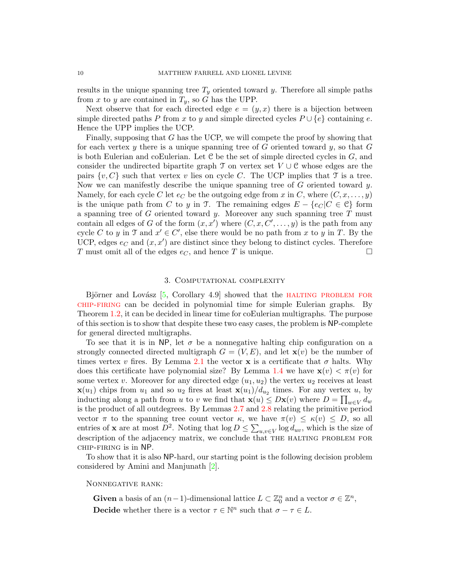results in the unique spanning tree  $T_y$  oriented toward y. Therefore all simple paths from x to y are contained in  $T_y$ , so G has the UPP.

Next observe that for each directed edge  $e = (y, x)$  there is a bijection between simple directed paths P from x to y and simple directed cycles  $P \cup \{e\}$  containing e. Hence the UPP implies the UCP.

Finally, supposing that G has the UCP, we will compete the proof by showing that for each vertex  $y$  there is a unique spanning tree of  $G$  oriented toward  $y$ , so that  $G$ is both Eulerian and coEulerian. Let  $C$  be the set of simple directed cycles in  $G$ , and consider the undirected bipartite graph  $\mathcal T$  on vertex set  $V \cup \mathcal C$  whose edges are the pairs  $\{v, C\}$  such that vertex v lies on cycle C. The UCP implies that  $\mathcal T$  is a tree. Now we can manifestly describe the unique spanning tree of  $G$  oriented toward  $y$ . Namely, for each cycle C let  $e_C$  be the outgoing edge from x in C, where  $(C, x, \ldots, y)$ is the unique path from C to y in T. The remaining edges  $E - \{e_C | C \in \mathcal{C}\}\)$  form a spanning tree of  $G$  oriented toward  $y$ . Moreover any such spanning tree  $T$  must contain all edges of G of the form  $(x, x')$  where  $(C, x, C', \ldots, y)$  is the path from any cycle C to y in T and  $x' \in C'$ , else there would be no path from x to y in T. By the UCP, edges  $e_C$  and  $(x, x')$  are distinct since they belong to distinct cycles. Therefore T must omit all of the edges  $e_C$ , and hence T is unique.

## 3. Computational complexity

<span id="page-9-0"></span>Björner and Lovász  $[5,$  Corollary 4.9 showed that the HALTING PROBLEM FOR [chip-firing](#page-1-1) can be decided in polynomial time for simple Eulerian graphs. By Theorem [1.2,](#page-2-0) it can be decided in linear time for coEulerian multigraphs. The purpose of this section is to show that despite these two easy cases, the problem is NP-complete for general directed multigraphs.

To see that it is in NP, let  $\sigma$  be a nonnegative halting chip configuration on a strongly connected directed multigraph  $G = (V, E)$ , and let  $\mathbf{x}(v)$  be the number of times vertex v fires. By Lemma [2.1](#page-3-2) the vector **x** is a certificate that  $\sigma$  halts. Why does this certificate have polynomial size? By Lemma [1.4](#page-2-2) we have  $\mathbf{x}(v) < \pi(v)$  for some vertex v. Moreover for any directed edge  $(u_1, u_2)$  the vertex  $u_2$  receives at least  $\mathbf{x}(u_1)$  chips from  $u_1$  and so  $u_2$  fires at least  $\mathbf{x}(u_1)/d_{u_2}$  times. For any vertex  $u$ , by inducting along a path from u to v we find that  $\mathbf{x}(u) \leq D\mathbf{x}(v)$  where  $D = \prod_{w \in V} d_w$ is the product of all outdegrees. By Lemmas [2.7](#page-5-1) and [2.8](#page-6-1) relating the primitive period vector  $\pi$  to the spanning tree count vector  $\kappa$ , we have  $\pi(v) \leq \kappa(v) \leq D$ , so all entries of **x** are at most  $D^2$ . Noting that  $\log D \le \sum_{u,v \in V} \log d_{uv}$ , which is the size of description of the adjacency matrix, we conclude that THE HALTING PROBLEM FOR chip-firing is in NP.

To show that it is also NP-hard, our starting point is the following decision problem considered by Amini and Manjunath [\[2\]](#page-12-1).

### Nonnegative rank:

<span id="page-9-1"></span>**Given** a basis of an  $(n-1)$ -dimensional lattice  $L \subset \mathbb{Z}_0^n$  and a vector  $\sigma \in \mathbb{Z}^n$ , **Decide** whether there is a vector  $\tau \in \mathbb{N}^n$  such that  $\sigma - \tau \in L$ .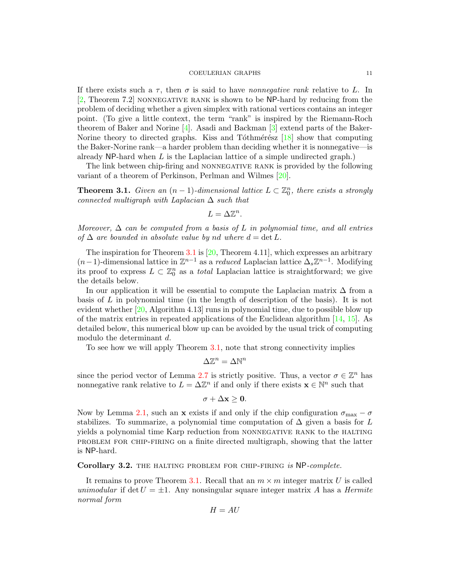If there exists such a  $\tau$ , then  $\sigma$  is said to have *nonnegative rank* relative to L. In  $[2,$  Theorem 7.2 NONNEGATIVE RANK is shown to be NP-hard by reducing from the problem of deciding whether a given simplex with rational vertices contains an integer point. (To give a little context, the term "rank" is inspired by the Riemann-Roch theorem of Baker and Norine [\[4\]](#page-13-18). Asadi and Backman [\[3\]](#page-12-2) extend parts of the Baker-Norine theory to directed graphs. Kiss and Tóthmérész  $[18]$  show that computing the Baker-Norine rank—a harder problem than deciding whether it is nonnegative—is already  $NP$ -hard when L is the Laplacian lattice of a simple undirected graph.)

The link between chip-firing and NONNEGATIVE RANK is provided by the following variant of a theorem of Perkinson, Perlman and Wilmes [\[20\]](#page-13-20).

<span id="page-10-0"></span>**Theorem 3.1.** Given an  $(n-1)$ -dimensional lattice  $L \subset \mathbb{Z}_0^n$ , there exists a strongly connected multigraph with Laplacian  $\Delta$  such that

$$
L=\Delta\mathbb{Z}^n.
$$

Moreover,  $\Delta$  can be computed from a basis of L in polynomial time, and all entries of  $\Delta$  are bounded in absolute value by nd where  $d = \det L$ .

The inspiration for Theorem [3.1](#page-10-0) is  $[20,$  Theorem 4.11], which expresses an arbitrary  $(n-1)$ -dimensional lattice in  $\mathbb{Z}^{n-1}$  as a *reduced* Laplacian lattice  $\Delta_s \mathbb{Z}^{n-1}$ . Modifying its proof to express  $L \subset \mathbb{Z}_0^n$  as a *total* Laplacian lattice is straightforward; we give the details below.

In our application it will be essential to compute the Laplacian matrix  $\Delta$  from a basis of L in polynomial time (in the length of description of the basis). It is not evident whether  $[20,$  Algorithm 4.13] runs in polynomial time, due to possible blow up of the matrix entries in repeated applications of the Euclidean algorithm [\[14,](#page-13-21) [15\]](#page-13-22). As detailed below, this numerical blow up can be avoided by the usual trick of computing modulo the determinant d.

To see how we will apply Theorem [3.1,](#page-10-0) note that strong connectivity implies

$$
\Delta \mathbb{Z}^n = \Delta \mathbb{N}^n
$$

since the period vector of Lemma [2.7](#page-5-1) is strictly positive. Thus, a vector  $\sigma \in \mathbb{Z}^n$  has nonnegative rank relative to  $L = \Delta \mathbb{Z}^n$  if and only if there exists  $\mathbf{x} \in \mathbb{N}^n$  such that

$$
\sigma+\Delta\mathbf{x}\geq\mathbf{0}.
$$

Now by Lemma [2.1,](#page-3-2) such an x exists if and only if the chip configuration  $\sigma_{\text{max}} - \sigma$ stabilizes. To summarize, a polynomial time computation of  $\Delta$  given a basis for L yields a polynomial time Karp reduction from NONNEGATIVE RANK to the HALTING problem for chip-firing on a finite directed multigraph, showing that the latter is NP-hard.

<span id="page-10-1"></span>Corollary 3.2. THE HALTING PROBLEM FOR CHIP-FIRING is NP-complete.

It remains to prove Theorem [3.1.](#page-10-0) Recall that an  $m \times m$  integer matrix U is called unimodular if det  $U = \pm 1$ . Any nonsingular square integer matrix A has a Hermite normal form

$$
H = AU
$$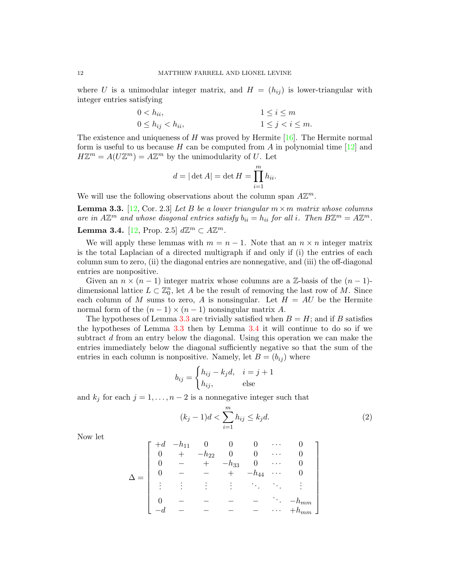where U is a unimodular integer matrix, and  $H = (h_{ij})$  is lower-triangular with integer entries satisfying

$$
0 < h_{ii}, \quad 1 \le i \le m
$$
\n
$$
0 \le h_{ij} < h_{ii}, \quad 1 \le j < i \le m.
$$

The existence and uniqueness of  $H$  was proved by Hermite [\[16\]](#page-13-23). The Hermite normal form is useful to us because H can be computed from A in polynomial time  $[12]$  and  $H\mathbb{Z}^m = A(U\mathbb{Z}^m) = A\mathbb{Z}^m$  by the unimodularity of U. Let

$$
d = |\det A| = \det H = \prod_{i=1}^{m} h_{ii}.
$$

We will use the following observations about the column span  $A\mathbb{Z}^m$ .

<span id="page-11-0"></span>**Lemma 3.3.** [\[12,](#page-13-24) Cor. 2.3] Let B be a lower triangular  $m \times m$  matrix whose columns are in  $A\mathbb{Z}^m$  and whose diagonal entries satisfy  $b_{ii} = h_{ii}$  for all i. Then  $B\mathbb{Z}^m = A\mathbb{Z}^m$ .

<span id="page-11-1"></span>**Lemma 3.4.** [\[12,](#page-13-24) Prop. 2.5]  $d\mathbb{Z}^m \subset A\mathbb{Z}^m$ .

We will apply these lemmas with  $m = n - 1$ . Note that an  $n \times n$  integer matrix is the total Laplacian of a directed multigraph if and only if (i) the entries of each column sum to zero, (ii) the diagonal entries are nonnegative, and (iii) the off-diagonal entries are nonpositive.

Given an  $n \times (n-1)$  integer matrix whose columns are a Z-basis of the  $(n-1)$ dimensional lattice  $L \subset \mathbb{Z}_0^n$ , let A be the result of removing the last row of M. Since each column of M sums to zero, A is nonsingular. Let  $H = AU$  be the Hermite normal form of the  $(n-1) \times (n-1)$  nonsingular matrix A.

The hypotheses of Lemma [3.3](#page-11-0) are trivially satisfied when  $B = H$ ; and if B satisfies the hypotheses of Lemma [3.3](#page-11-0) then by Lemma [3.4](#page-11-1) it will continue to do so if we subtract d from an entry below the diagonal. Using this operation we can make the entries immediately below the diagonal sufficiently negative so that the sum of the entries in each column is nonpositive. Namely, let  $B = (b_{ij})$  where

$$
b_{ij} = \begin{cases} h_{ij} - k_j d, & i = j + 1 \\ h_{ij}, & \text{else} \end{cases}
$$

and  $k_j$  for each  $j = 1, ..., n - 2$  is a nonnegative integer such that

<span id="page-11-2"></span>
$$
(k_j - 1)d < \sum_{i=1}^{m} h_{ij} \le k_j d.
$$
 (2)

Now let

$$
\Delta = \begin{bmatrix}\n+d & -h_{11} & 0 & 0 & 0 & \cdots & 0 \\
0 & + & -h_{22} & 0 & 0 & \cdots & 0 \\
0 & - & + & -h_{33} & 0 & \cdots & 0 \\
0 & - & - & + & -h_{44} & \cdots & 0 \\
\vdots & \vdots & \vdots & \vdots & \ddots & \ddots & \vdots \\
0 & - & - & - & - & \cdots & -h_{mm} \\
-d & - & - & - & - & \cdots & +h_{mm}\n\end{bmatrix}
$$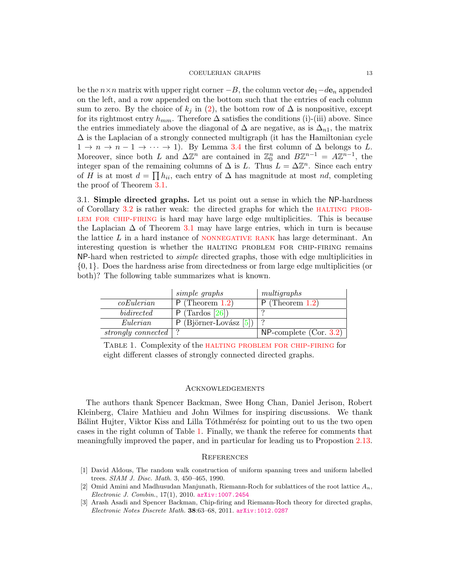be the  $n \times n$  matrix with upper right corner  $-B$ , the column vector  $d\mathbf{e}_1-d\mathbf{e}_n$  appended on the left, and a row appended on the bottom such that the entries of each column sum to zero. By the choice of  $k_j$  in [\(2\)](#page-11-2), the bottom row of  $\Delta$  is nonpositive, except for its rightmost entry  $h_{mm}$ . Therefore  $\Delta$  satisfies the conditions (i)-(iii) above. Since the entries immediately above the diagonal of  $\Delta$  are negative, as is  $\Delta_{n1}$ , the matrix  $\Delta$  is the Laplacian of a strongly connected multigraph (it has the Hamiltonian cycle  $1 \rightarrow n \rightarrow n-1 \rightarrow \cdots \rightarrow 1$ . By Lemma [3.4](#page-11-1) the first column of  $\Delta$  belongs to L. Moreover, since both L and  $\Delta \mathbb{Z}^n$  are contained in  $\mathbb{Z}_0^n$  and  $B\mathbb{Z}^{n-1} = A\mathbb{Z}^{n-1}$ , the integer span of the remaining columns of  $\Delta$  is L. Thus  $L = \Delta \mathbb{Z}^n$ . Since each entry of H is at most  $d = \prod h_{ii}$ , each entry of  $\Delta$  has magnitude at most nd, completing the proof of Theorem [3.1.](#page-10-0)

3.1. Simple directed graphs. Let us point out a sense in which the NP-hardness of Corollary [3.2](#page-10-1) is rather weak: the directed graphs for which the [halting prob](#page-1-1)[lem for chip-firing](#page-1-1) is hard may have large edge multiplicities. This is because the Laplacian  $\Delta$  of Theorem [3.1](#page-10-0) may have large entries, which in turn is because the lattice  $L$  in a hard instance of NONNEGATIVE RANK has large determinant. An interesting question is whether the halting problem for chip-firing remains NP-hard when restricted to simple directed graphs, those with edge multiplicities in {0, 1}. Does the hardness arise from directedness or from large edge multiplicities (or both)? The following table summarizes what is known.

|                    | simple graphs            | multigraphs               |
|--------------------|--------------------------|---------------------------|
| coEulerian         | $P$ (Theorem 1.2)        | $P$ (Theorem 1.2)         |
| bidirected         | $P$ (Tardos [26])        |                           |
| Eulerian           | $P$ (Björner-Lovász [5]) |                           |
| strongly connected |                          | $NP$ -complete (Cor. 3.2) |

<span id="page-12-3"></span>Table 1. Complexity of the [halting problem for chip-firing](#page-1-1) for eight different classes of strongly connected directed graphs.

# **ACKNOWLEDGEMENTS**

The authors thank Spencer Backman, Swee Hong Chan, Daniel Jerison, Robert Kleinberg, Claire Mathieu and John Wilmes for inspiring discussions. We thank Bálint Hujter, Viktor Kiss and Lilla Tóthmérész for pointing out to us the two open cases in the right column of Table [1.](#page-12-3) Finally, we thank the referee for comments that meaningfully improved the paper, and in particular for leading us to Propostion [2.13.](#page-8-0)

### **REFERENCES**

- <span id="page-12-0"></span>[1] David Aldous, The random walk construction of uniform spanning trees and uniform labelled trees. SIAM J. Disc. Math. 3, 450–465, 1990.
- <span id="page-12-1"></span>[2] Omid Amini and Madhusudan Manjunath, Riemann-Roch for sublattices of the root lattice  $A_n$ , Electronic J. Combin., 17(1), 2010. [arXiv:1007.2454](http://arxiv.org/abs/1007.2454)
- <span id="page-12-2"></span>[3] Arash Asadi and Spencer Backman, Chip-firing and Riemann-Roch theory for directed graphs, Electronic Notes Discrete Math. 38:63–68, 2011. [arXiv:1012.0287](http://arxiv.org/abs/1012.0287)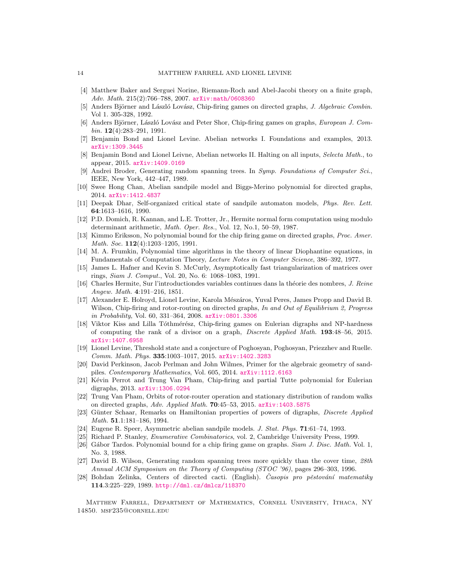- <span id="page-13-18"></span>[4] Matthew Baker and Serguei Norine, Riemann-Roch and Abel-Jacobi theory on a finite graph, Adv. Math.  $215(2):766-788, 2007.$  [arXiv:math/0608360](http://arxiv.org/abs/math/0608360)
- <span id="page-13-4"></span>[5] Anders Björner and László Lovász, Chip-firing games on directed graphs, J. Algebraic Combin. Vol 1. 305-328, 1992.
- <span id="page-13-1"></span>[6] Anders Björner, László Lovász and Peter Shor, Chip-firing games on graphs, European J. Com $bin. 12(4):283-291, 1991.$
- <span id="page-13-10"></span>[7] Benjamin Bond and Lionel Levine. Abelian networks I. Foundations and examples, 2013. [arXiv:1309.3445](http://arxiv.org/abs/1309.3445)
- <span id="page-13-6"></span>[8] Benjamin Bond and Lionel Leivne, Abelian networks II. Halting on all inputs, Selecta Math., to appear, 2015. [arXiv:1409.0169](http://arxiv.org/abs/1409.0169)
- <span id="page-13-14"></span>[9] Andrei Broder, Generating random spanning trees. In Symp. Foundations of Computer Sci., IEEE, New York, 442–447, 1989.
- <span id="page-13-9"></span>[10] Swee Hong Chan, Abelian sandpile model and Biggs-Merino polynomial for directed graphs, 2014. [arXiv:1412.4837](http://arxiv.org/abs/1412.4837)
- <span id="page-13-12"></span>[11] Deepak Dhar, Self-organized critical state of sandpile automaton models, Phys. Rev. Lett. 64:1613–1616, 1990.
- <span id="page-13-24"></span>[12] P.D. Domich, R. Kannan, and L.E. Trotter, Jr., Hermite normal form computation using modulo determinant arithmetic, Math. Oper. Res., Vol. 12, No.1, 50–59, 1987.
- <span id="page-13-3"></span>[13] Kimmo Eriksson, No polynomial bound for the chip firing game on directed graphs, Proc. Amer. Math. Soc.  $112(4):1203-1205$ , 1991.
- <span id="page-13-21"></span>[14] M. A. Frumkin, Polynomial time algorithms in the theory of linear Diophantine equations, in Fundamentals of Computation Theory, Lecture Notes in Computer Science, 386–392, 1977.
- <span id="page-13-22"></span>[15] James L. Hafner and Kevin S. McCurly, Asymptotically fast triangularization of matrices over rings, Siam J. Comput., Vol. 20, No. 6: 1068–1083, 1991.
- <span id="page-13-23"></span>[16] Charles Hermite, Sur l'introductiondes variables continues dans la théorie des nombres, J. Reine Angew. Math. 4:191–216, 1851.
- <span id="page-13-5"></span>[17] Alexander E. Holroyd, Lionel Levine, Karola Mészáros, Yuval Peres, James Propp and David B. Wilson, Chip-firing and rotor-routing on directed graphs, In and Out of Equilibrium 2, Progress in Probability, Vol. 60, 331–364, 2008. [arXiv:0801.3306](http://arxiv.org/abs/0801.3306)
- <span id="page-13-19"></span>[18] Viktor Kiss and Lilla Tóthmérész, Chip-firing games on Eulerian digraphs and NP-hardness of computing the rank of a divisor on a graph, Discrete Applied Math. 193:48–56, 2015. [arXiv:1407.6958](http://arxiv.org/abs/1407.6958)
- <span id="page-13-7"></span>[19] Lionel Levine, Threshold state and a conjecture of Poghosyan, Poghosyan, Priezzhev and Ruelle. Comm. Math. Phys. 335:1003–1017, 2015. [arXiv:1402.3283](http://arxiv.org/abs/1402.3283)
- <span id="page-13-20"></span>[20] David Perkinson, Jacob Perlman and John Wilmes, Primer for the algebraic geometry of sandpiles. Contemporary Mathematics, Vol. 605, 2014. [arXiv:1112.6163](http://arxiv.org/abs/1112.6163)
- <span id="page-13-8"></span>[21] Kévin Perrot and Trung Van Pham, Chip-firing and partial Tutte polynomial for Eulerian digraphs, 2013. [arXiv:1306.0294](http://arxiv.org/abs/1306.0294)
- <span id="page-13-0"></span>[22] Trung Van Pham, Orbits of rotor-router operation and stationary distribution of random walks on directed graphs, Adv. Applied Math. 70:45–53, 2015. [arXiv:1403.5875](http://arxiv.org/abs/1403.5875)
- <span id="page-13-16"></span>[23] Günter Schaar, Remarks on Hamiltonian properties of powers of digraphs, *Discrete Applied* Math. 51.1:181–186, 1994.
- <span id="page-13-13"></span>[24] Eugene R. Speer, Asymmetric abelian sandpile models. J. Stat. Phys. 71:61–74, 1993.
- <span id="page-13-11"></span>[25] Richard P. Stanley, Enumerative Combinatorics, vol. 2, Cambridge University Press, 1999.
- <span id="page-13-2"></span>[26] Gábor Tardos. Polynomial bound for a chip firing game on graphs. Siam J. Disc. Math. Vol. 1, No. 3, 1988.
- <span id="page-13-17"></span>[27] David B. Wilson, Generating random spanning trees more quickly than the cover time, 28th Annual ACM Symposium on the Theory of Computing (STOC '96), pages 296–303, 1996.
- <span id="page-13-15"></span>[28] Bohdan Zelinka, Centers of directed cacti. (English). Casopis pro pěstování matematiky 114.3:225–229, 1989. <http://dml.cz/dmlcz/118370>

Matthew Farrell, Department of Mathematics, Cornell University, Ithaca, NY 14850. msf235@cornell.edu